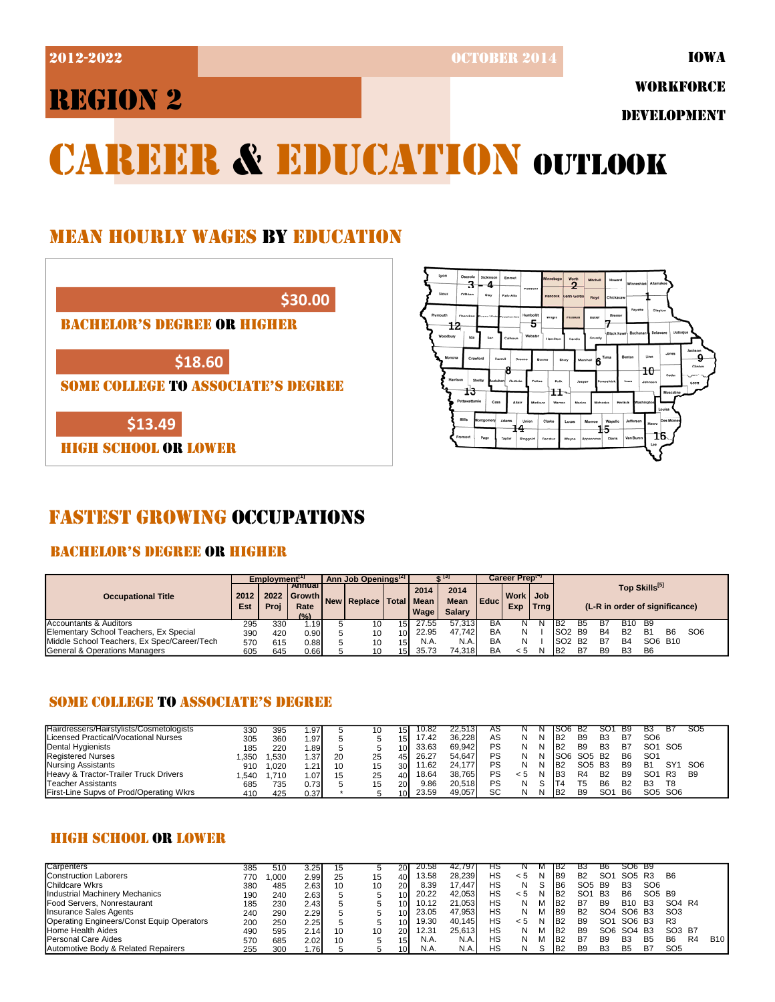2012-2022 OCTOBER 2014

IOWA

# REGION 2

WORKFORCE

DEVELOPMENT

# CAREER & EDUCATION OUTLOOK

### MEAN HOURLY WAGES BY EDUCATION





### FASTEST GROWING OCCUPATIONS

### BACHELOR'S DEGREE OR HIGHER

|                                             | Emplovment <sup>[1]</sup> |              |                                                   | Ann Job Openings <sup>[2]</sup> |                       |                 |                             |                                      |             | Career Preptor  |        |                 |           |           |                                                 |                |           |                 |  |
|---------------------------------------------|---------------------------|--------------|---------------------------------------------------|---------------------------------|-----------------------|-----------------|-----------------------------|--------------------------------------|-------------|-----------------|--------|-----------------|-----------|-----------|-------------------------------------------------|----------------|-----------|-----------------|--|
| <b>Occupational Title</b>                   | 2012<br>Est               | 2022<br>Proi | <b>Annual</b><br><b>I</b> Growth<br>Rate<br>(9/6) |                                 | New   Replace   Total |                 | 2014<br><b>Mean</b><br>Wage | 2014<br><b>Mean</b><br><b>Salary</b> | <b>Educ</b> | Work Job<br>Exp | Trna I |                 |           |           | Top Skills[5]<br>(L-R in order of significance) |                |           |                 |  |
| Accountants & Auditors                      | 295                       | 330          | ا19، ،                                            |                                 | 10                    | 151             | 27.55                       | 57.313                               | BΑ          |                 |        | B2              |           |           | <b>B10</b>                                      | B9             |           |                 |  |
| Elementary School Teachers, Ex Special      | 390                       | 420          | 0.90                                              |                                 | 10                    | 10 <sup>1</sup> | 22.95                       | 47.742                               | BA          | N               |        | SO <sub>2</sub> | B9        | <b>B4</b> | B2                                              | B1             | <b>B6</b> | SO <sub>6</sub> |  |
| Middle School Teachers, Ex Spec/Career/Tech | 570                       | 615          | 0.881                                             |                                 | 10                    | 15 <sup>1</sup> | N.A.                        | N.A.                                 | ΒA          | N               |        | SO <sub>2</sub> | <b>B2</b> | B7        | B4                                              | SO6 B10        |           |                 |  |
| General & Operations Managers               | 605                       | 645          | 0.66                                              |                                 | 10                    | 15 <sup>1</sup> | 35.73                       | 74.318                               | ΒA          | < 5             |        | B <sub>2</sub>  | B7        | Β9        | B <sub>3</sub>                                  | B <sub>6</sub> |           |                 |  |

### SOME COLLEGE TO ASSOCIATE'S DEGREE

| Hairdressers/Hairstylists/Cosmetologists | 330  | 395  | . .97'           |    | 10 | 15I             | 10.82 | $\angle 2.513$ | AS |     |   | ISU6.                 | - B2            |                | <b>B</b> 9     | вз              | В7              | SO <sub>5</sub> |
|------------------------------------------|------|------|------------------|----|----|-----------------|-------|----------------|----|-----|---|-----------------------|-----------------|----------------|----------------|-----------------|-----------------|-----------------|
| Licensed Practical/Vocational Nurses     | 305  | 360  | ا97.             |    |    | 15 <sub>l</sub> | 17.42 | 36.228         | AS |     | N | <b>B</b> <sub>2</sub> | B <sub>9</sub>  | B <sub>3</sub> | B7             | SO <sub>6</sub> |                 |                 |
| Dental Hygienists                        | 185  | 220  | . 891            |    |    | 10 <sup>1</sup> | 33.63 | 69.942         | PS |     | N | <b>B</b>              | B <sub>9</sub>  | B <sub>3</sub> | B7             | SO <sub>1</sub> | SO <sub>5</sub> |                 |
| <b>Registered Nurses</b>                 | .350 | .530 | .37 <sup>1</sup> | 20 | 25 | 45              | 26.27 | 54.647         | PS |     | N | SO <sub>6</sub>       | SO <sub>5</sub> | - B2           | B <sub>6</sub> | SO <sup>,</sup> |                 |                 |
| Nursing Assistants                       | 910  | .020 | .21              | 10 | 15 | 30 <sup>1</sup> | 11.62 | 24.177         | PS |     | N | <b>B</b> <sub>2</sub> | SO <sub>5</sub> | B <sub>3</sub> | B <sub>9</sub> | B1              | SY <sub>1</sub> | SO <sub>6</sub> |
| Heavy & Tractor-Trailer Truck Drivers    | .540 | .710 | .07              | 15 | 25 | 401             | 18.64 | 38.765         | PS | < 5 |   | IB3                   | R <sub>4</sub>  | <b>B2</b>      | B <sub>9</sub> | SO <sup>,</sup> | <b>R3</b>       | B9              |
| Teacher Assistants                       | 685  | 735  | 0.731            |    | 15 | <b>20</b>       | 9.86  | 20.518         | PS |     |   |                       |                 | B6             | <b>B2</b>      | B <sub>3</sub>  | T8              |                 |
| First-Line Supvs of Prod/Operating Wkrs  | 410  | 425  | 0.37             |    |    | 10 <sup>1</sup> | 23.59 | 49,057         | SC |     | N | B <sub>2</sub>        | B <sub>9</sub>  | $SO^c$         | - B6           |                 | SO5 SO6         |                 |

### HIGH SCHOOL OR LOWER

| Carpenters                                | 385 | 510  | 3.25  | 15 |    | 20 <sup>1</sup> | 20.58 | 42.797 | нs |     |   | - 1B2           | вз                             | B6              | SO6 B9          |                                |                                |                |            |
|-------------------------------------------|-----|------|-------|----|----|-----------------|-------|--------|----|-----|---|-----------------|--------------------------------|-----------------|-----------------|--------------------------------|--------------------------------|----------------|------------|
| <b>Construction Laborers</b>              | 770 | .000 | 2.99  | 25 | 15 | 40              | 13.58 | 28.239 | НS | < 5 | N | B <sub>9</sub>  | B <sub>2</sub>                 | SO <sub>1</sub> | SO <sub>5</sub> | R3                             | B <sub>6</sub>                 |                |            |
| Childcare Wkrs                            | 380 | 485  | 2.63  | 10 | 10 | 20 <sup>1</sup> | 8.39  | 17.447 | НS | N   |   | B <sub>6</sub>  | SO <sub>5</sub> B <sub>9</sub> |                 | B <sub>3</sub>  | SO <sub>6</sub>                |                                |                |            |
| Industrial Machinery Mechanics            | 190 | 240  | 2.63  |    |    | 10 <sup>1</sup> | 20.22 | 42.053 | НS | < 5 | N | <b>B2</b>       | SO <sub>1</sub>                | <b>B3</b>       | B <sub>6</sub>  | SO <sub>5</sub> B <sub>9</sub> |                                |                |            |
| Food Servers, Nonrestaurant               | 185 | 230  | 2.431 |    |    | 10 <sup>1</sup> | 10.12 | 21.053 | НS | N   | М | B <sub>2</sub>  | B7                             | B <sub>9</sub>  | <b>B10</b>      | <b>B3</b>                      | SO4 R4                         |                |            |
| Insurance Sales Agents                    | 240 | 290  | 2.291 |    |    | 10 <sup>1</sup> | 23.05 | 47.953 | НS | N   | M | B <sub>9</sub>  | B <sub>2</sub>                 | SO <sub>4</sub> | SO <sub>6</sub> | - B3                           | SO <sub>3</sub>                |                |            |
| Operating Engineers/Const Equip Operators | 200 | 250  | 2.25I |    |    | 10 <sup>1</sup> | 19.30 | 40.145 | НS | < 5 | N | IB <sub>2</sub> | <b>B</b> 9                     | SO <sub>1</sub> | SO <sub>6</sub> | <b>B3</b>                      | R <sub>3</sub>                 |                |            |
| <b>Home Health Aides</b>                  | 490 | 595  | 2.14  | 10 | 10 | 20I             | 12.31 | 25.613 | НS | N   | M | B <sub>2</sub>  | <b>B</b> 9                     | SO <sub>6</sub> | SO <sub>4</sub> | B3                             | SO <sub>3</sub> B <sub>7</sub> |                |            |
| <b>Personal Care Aides</b>                | 570 | 685  | 2.02  | 10 |    | 15 <sup>1</sup> | N.A.  | N.A.   | НS | N   | M | B <sub>2</sub>  | B7                             | B <sub>9</sub>  | B <sub>3</sub>  | B <sub>5</sub>                 | B <sub>6</sub>                 | R <sub>4</sub> | <b>B10</b> |
| Automotive Body & Related Repairers       | 255 | 300  | .761  |    |    | 10 <sup>1</sup> | N.A.  | N.A    | НS | N   |   | B <sub>2</sub>  | B <sub>9</sub>                 | B <sub>3</sub>  | <b>B5</b>       | B7                             | SO <sub>5</sub>                |                |            |